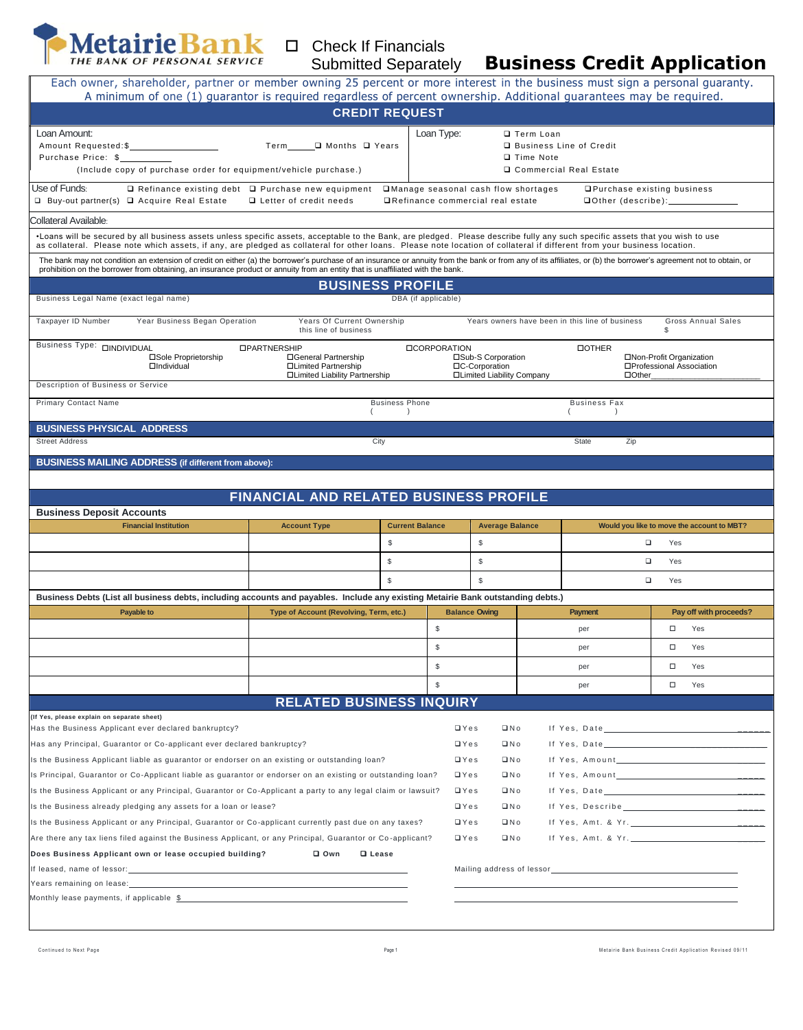

## □ Check If Financials Submitted Separately

## **Business Credit Application**

| A minimum of one (1) guarantor is required regardless of percent ownership. Additional guarantees may be required.                                                                                                                                                                                                                                                                                                                                                                                                                                                                                                                                                                                                                                                                                                                                                                                                                                                                                      |                                                     |                                    |                      |                                                 |                          |                                         |              |                                                                        |                                            |
|---------------------------------------------------------------------------------------------------------------------------------------------------------------------------------------------------------------------------------------------------------------------------------------------------------------------------------------------------------------------------------------------------------------------------------------------------------------------------------------------------------------------------------------------------------------------------------------------------------------------------------------------------------------------------------------------------------------------------------------------------------------------------------------------------------------------------------------------------------------------------------------------------------------------------------------------------------------------------------------------------------|-----------------------------------------------------|------------------------------------|----------------------|-------------------------------------------------|--------------------------|-----------------------------------------|--------------|------------------------------------------------------------------------|--------------------------------------------|
|                                                                                                                                                                                                                                                                                                                                                                                                                                                                                                                                                                                                                                                                                                                                                                                                                                                                                                                                                                                                         |                                                     | <b>CREDIT REQUEST</b>              |                      |                                                 |                          |                                         |              |                                                                        |                                            |
| Loan Amount:                                                                                                                                                                                                                                                                                                                                                                                                                                                                                                                                                                                                                                                                                                                                                                                                                                                                                                                                                                                            |                                                     |                                    | Loan Type:           |                                                 | □ Term Loan              |                                         |              |                                                                        |                                            |
| Amount Requested:\$                                                                                                                                                                                                                                                                                                                                                                                                                                                                                                                                                                                                                                                                                                                                                                                                                                                                                                                                                                                     | Term______ II Months II Years                       |                                    |                      |                                                 | Business Line of Credit  |                                         |              |                                                                        |                                            |
| Purchase Price: \$                                                                                                                                                                                                                                                                                                                                                                                                                                                                                                                                                                                                                                                                                                                                                                                                                                                                                                                                                                                      |                                                     |                                    |                      |                                                 | Time Note                |                                         |              |                                                                        |                                            |
| (Include copy of purchase order for equipment/vehicle purchase.)                                                                                                                                                                                                                                                                                                                                                                                                                                                                                                                                                                                                                                                                                                                                                                                                                                                                                                                                        |                                                     |                                    |                      |                                                 | □ Commercial Real Estate |                                         |              |                                                                        |                                            |
| Use of Funds:<br>$\Box$ Refinance existing debt $\Box$ Purchase new equipment<br>□Manage seasonal cash flow shortages<br>□ Buy-out partner(s) □ Acquire Real Estate<br>□ Letter of credit needs<br>□Refinance commercial real estate                                                                                                                                                                                                                                                                                                                                                                                                                                                                                                                                                                                                                                                                                                                                                                    |                                                     |                                    |                      |                                                 |                          |                                         |              | <b>□Purchase existing business</b><br><b>□Other (describe):</b> ______ |                                            |
| Collateral Available:                                                                                                                                                                                                                                                                                                                                                                                                                                                                                                                                                                                                                                                                                                                                                                                                                                                                                                                                                                                   |                                                     |                                    |                      |                                                 |                          |                                         |              |                                                                        |                                            |
| ·Loans will be secured by all business assets unless specific assets, acceptable to the Bank, are pledged. Please describe fully any such specific assets that you wish to use<br>as collateral. Please note which assets, if any, are pledged as collateral for other loans. Please note location of collateral if different from your business location.                                                                                                                                                                                                                                                                                                                                                                                                                                                                                                                                                                                                                                              |                                                     |                                    |                      |                                                 |                          |                                         |              |                                                                        |                                            |
| The bank may not condition an extension of credit on either (a) the borrower's purchase of an insurance or annuity from the bank or from any of its affiliates, or (b) the borrower's agreement not to obtain, or<br>prohibition on the borrower from obtaining, an insurance product or annuity from an entity that is unaffiliated with the bank.                                                                                                                                                                                                                                                                                                                                                                                                                                                                                                                                                                                                                                                     |                                                     |                                    |                      |                                                 |                          |                                         |              |                                                                        |                                            |
|                                                                                                                                                                                                                                                                                                                                                                                                                                                                                                                                                                                                                                                                                                                                                                                                                                                                                                                                                                                                         |                                                     | <b>BUSINESS PROFILE</b>            |                      |                                                 |                          |                                         |              |                                                                        |                                            |
| Business Legal Name (exact legal name)                                                                                                                                                                                                                                                                                                                                                                                                                                                                                                                                                                                                                                                                                                                                                                                                                                                                                                                                                                  |                                                     |                                    | DBA (if applicable)  |                                                 |                          |                                         |              |                                                                        |                                            |
| Taxpayer ID Number<br>Year Business Began Operation                                                                                                                                                                                                                                                                                                                                                                                                                                                                                                                                                                                                                                                                                                                                                                                                                                                                                                                                                     | Years Of Current Ownership<br>this line of business |                                    |                      | Years owners have been in this line of business |                          |                                         |              | \$                                                                     | <b>Gross Annual Sales</b>                  |
| Business Type: <b>QINDIVIDUAL</b>                                                                                                                                                                                                                                                                                                                                                                                                                                                                                                                                                                                                                                                                                                                                                                                                                                                                                                                                                                       | <b>OPARTNERSHIP</b>                                 |                                    | <b>ILCORPORATION</b> | <b>DOTHER</b>                                   |                          |                                         |              |                                                                        |                                            |
| □Sole Proprietorship<br><b>OIndividual</b>                                                                                                                                                                                                                                                                                                                                                                                                                                                                                                                                                                                                                                                                                                                                                                                                                                                                                                                                                              | □General Partnership<br>□Limited Partnership        |                                    |                      | □Sub-S Corporation<br>□C-Corporation            |                          |                                         |              | □Non-Profit Organization<br>□Professional Association                  |                                            |
|                                                                                                                                                                                                                                                                                                                                                                                                                                                                                                                                                                                                                                                                                                                                                                                                                                                                                                                                                                                                         | □Limited Liability Partnership                      |                                    |                      | □Limited Liability Company                      |                          |                                         | $\Box$ Other |                                                                        |                                            |
| Description of Business or Service                                                                                                                                                                                                                                                                                                                                                                                                                                                                                                                                                                                                                                                                                                                                                                                                                                                                                                                                                                      |                                                     |                                    |                      |                                                 |                          |                                         |              |                                                                        |                                            |
| <b>Primary Contact Name</b>                                                                                                                                                                                                                                                                                                                                                                                                                                                                                                                                                                                                                                                                                                                                                                                                                                                                                                                                                                             |                                                     | <b>Business Phone</b><br>$\lambda$ |                      |                                                 |                          | <b>Business Fax</b><br>$\left( \right)$ |              |                                                                        |                                            |
| <b>BUSINESS PHYSICAL ADDRESS</b>                                                                                                                                                                                                                                                                                                                                                                                                                                                                                                                                                                                                                                                                                                                                                                                                                                                                                                                                                                        |                                                     |                                    |                      |                                                 |                          |                                         |              |                                                                        |                                            |
|                                                                                                                                                                                                                                                                                                                                                                                                                                                                                                                                                                                                                                                                                                                                                                                                                                                                                                                                                                                                         |                                                     | City                               |                      |                                                 |                          | State                                   | Zip          |                                                                        |                                            |
|                                                                                                                                                                                                                                                                                                                                                                                                                                                                                                                                                                                                                                                                                                                                                                                                                                                                                                                                                                                                         |                                                     |                                    |                      |                                                 |                          |                                         |              |                                                                        |                                            |
|                                                                                                                                                                                                                                                                                                                                                                                                                                                                                                                                                                                                                                                                                                                                                                                                                                                                                                                                                                                                         | FINANCIAL AND RELATED BUSINESS PROFILE              |                                    |                      |                                                 |                          |                                         |              |                                                                        |                                            |
| <b>Financial Institution</b>                                                                                                                                                                                                                                                                                                                                                                                                                                                                                                                                                                                                                                                                                                                                                                                                                                                                                                                                                                            | <b>Account Type</b>                                 | <b>Current Balance</b>             |                      | <b>Average Balance</b>                          |                          |                                         |              |                                                                        | Would you like to move the account to MBT? |
|                                                                                                                                                                                                                                                                                                                                                                                                                                                                                                                                                                                                                                                                                                                                                                                                                                                                                                                                                                                                         |                                                     | $\$$                               |                      | $$\mathbb{S}$$                                  |                          |                                         | $\Box$       | Yes                                                                    |                                            |
| <b>Street Address</b><br><b>BUSINESS MAILING ADDRESS (if different from above):</b><br><b>Business Deposit Accounts</b>                                                                                                                                                                                                                                                                                                                                                                                                                                                                                                                                                                                                                                                                                                                                                                                                                                                                                 |                                                     | \$                                 |                      | $$\mathbb{S}$$                                  |                          |                                         | $\Box$       | Yes                                                                    |                                            |
|                                                                                                                                                                                                                                                                                                                                                                                                                                                                                                                                                                                                                                                                                                                                                                                                                                                                                                                                                                                                         |                                                     | $\mathbb{S}$                       |                      | $\mathbb{S}$                                    |                          |                                         | $\Box$       |                                                                        |                                            |
|                                                                                                                                                                                                                                                                                                                                                                                                                                                                                                                                                                                                                                                                                                                                                                                                                                                                                                                                                                                                         |                                                     |                                    |                      |                                                 |                          |                                         |              | Yes                                                                    |                                            |
|                                                                                                                                                                                                                                                                                                                                                                                                                                                                                                                                                                                                                                                                                                                                                                                                                                                                                                                                                                                                         |                                                     |                                    |                      |                                                 |                          |                                         |              |                                                                        |                                            |
| Payable to                                                                                                                                                                                                                                                                                                                                                                                                                                                                                                                                                                                                                                                                                                                                                                                                                                                                                                                                                                                              | Type of Account (Revolving, Term, etc.)             |                                    |                      | <b>Balance Owing</b>                            |                          | <b>Payment</b>                          |              |                                                                        | Pay off with proceeds?                     |
|                                                                                                                                                                                                                                                                                                                                                                                                                                                                                                                                                                                                                                                                                                                                                                                                                                                                                                                                                                                                         |                                                     |                                    | \$                   |                                                 |                          | per                                     |              | $\Box$                                                                 | Yes                                        |
|                                                                                                                                                                                                                                                                                                                                                                                                                                                                                                                                                                                                                                                                                                                                                                                                                                                                                                                                                                                                         |                                                     |                                    | \$                   |                                                 |                          | per                                     |              | □                                                                      | Yes                                        |
|                                                                                                                                                                                                                                                                                                                                                                                                                                                                                                                                                                                                                                                                                                                                                                                                                                                                                                                                                                                                         |                                                     |                                    | \$                   |                                                 |                          | per                                     |              | $\Box$                                                                 | Yes                                        |
|                                                                                                                                                                                                                                                                                                                                                                                                                                                                                                                                                                                                                                                                                                                                                                                                                                                                                                                                                                                                         |                                                     |                                    | $\mathbb{S}$         |                                                 |                          | per                                     |              | $\Box$                                                                 | Yes                                        |
|                                                                                                                                                                                                                                                                                                                                                                                                                                                                                                                                                                                                                                                                                                                                                                                                                                                                                                                                                                                                         | <b>RELATED BUSINESS INQUIRY</b>                     |                                    |                      |                                                 |                          |                                         |              |                                                                        |                                            |
|                                                                                                                                                                                                                                                                                                                                                                                                                                                                                                                                                                                                                                                                                                                                                                                                                                                                                                                                                                                                         |                                                     |                                    |                      |                                                 |                          |                                         |              |                                                                        |                                            |
|                                                                                                                                                                                                                                                                                                                                                                                                                                                                                                                                                                                                                                                                                                                                                                                                                                                                                                                                                                                                         |                                                     |                                    |                      | $\Box Y$ es<br>$\Box$ No                        |                          |                                         |              |                                                                        |                                            |
|                                                                                                                                                                                                                                                                                                                                                                                                                                                                                                                                                                                                                                                                                                                                                                                                                                                                                                                                                                                                         |                                                     |                                    |                      | $\Box$ Yes<br>$\Box$ No                         |                          |                                         |              |                                                                        |                                            |
|                                                                                                                                                                                                                                                                                                                                                                                                                                                                                                                                                                                                                                                                                                                                                                                                                                                                                                                                                                                                         |                                                     |                                    |                      | $\Box$ Yes<br>$\Box$ No                         |                          | If Yes, Amount                          |              |                                                                        |                                            |
|                                                                                                                                                                                                                                                                                                                                                                                                                                                                                                                                                                                                                                                                                                                                                                                                                                                                                                                                                                                                         |                                                     |                                    |                      | $\Box$ Yes<br>$\Box$ No                         |                          |                                         |              |                                                                        |                                            |
|                                                                                                                                                                                                                                                                                                                                                                                                                                                                                                                                                                                                                                                                                                                                                                                                                                                                                                                                                                                                         |                                                     |                                    |                      | $\sqcup$ Yes<br>$\Box$ No                       |                          |                                         |              |                                                                        |                                            |
|                                                                                                                                                                                                                                                                                                                                                                                                                                                                                                                                                                                                                                                                                                                                                                                                                                                                                                                                                                                                         |                                                     |                                    |                      | $\Box$ No<br>$\Box$ Yes                         |                          |                                         |              |                                                                        |                                            |
|                                                                                                                                                                                                                                                                                                                                                                                                                                                                                                                                                                                                                                                                                                                                                                                                                                                                                                                                                                                                         |                                                     |                                    |                      | $\Box$ Yes<br>$\Box$ No                         |                          |                                         |              |                                                                        |                                            |
|                                                                                                                                                                                                                                                                                                                                                                                                                                                                                                                                                                                                                                                                                                                                                                                                                                                                                                                                                                                                         |                                                     |                                    |                      | $\Box$ Yes<br>$\Box$ No                         |                          |                                         |              |                                                                        |                                            |
| Business Debts (List all business debts, including accounts and payables. Include any existing Metairie Bank outstanding debts.)<br>(If Yes, please explain on separate sheet)<br>Has the Business Applicant ever declared bankruptcy?<br>Has any Principal, Guarantor or Co-applicant ever declared bankruptcy?<br>Is the Business Applicant liable as quarantor or endorser on an existing or outstanding loan?<br>Is Principal, Guarantor or Co-Applicant liable as quarantor or endorser on an existing or outstanding loan?<br>Is the Business Applicant or any Principal, Guarantor or Co-Applicant a party to any legal claim or lawsuit?<br>Is the Business already pledging any assets for a loan or lease?<br>Is the Business Applicant or any Principal, Guarantor or Co-applicant currently past due on any taxes?<br>Are there any tax liens filed against the Business Applicant, or any Principal, Guarantor or Co-applicant?<br>Does Business Applicant own or lease occupied building? | <b>□</b> Own                                        | <b>Q</b> Lease                     |                      |                                                 |                          |                                         |              |                                                                        |                                            |
| If leased, name of lessor:                                                                                                                                                                                                                                                                                                                                                                                                                                                                                                                                                                                                                                                                                                                                                                                                                                                                                                                                                                              |                                                     |                                    |                      |                                                 |                          |                                         |              |                                                                        |                                            |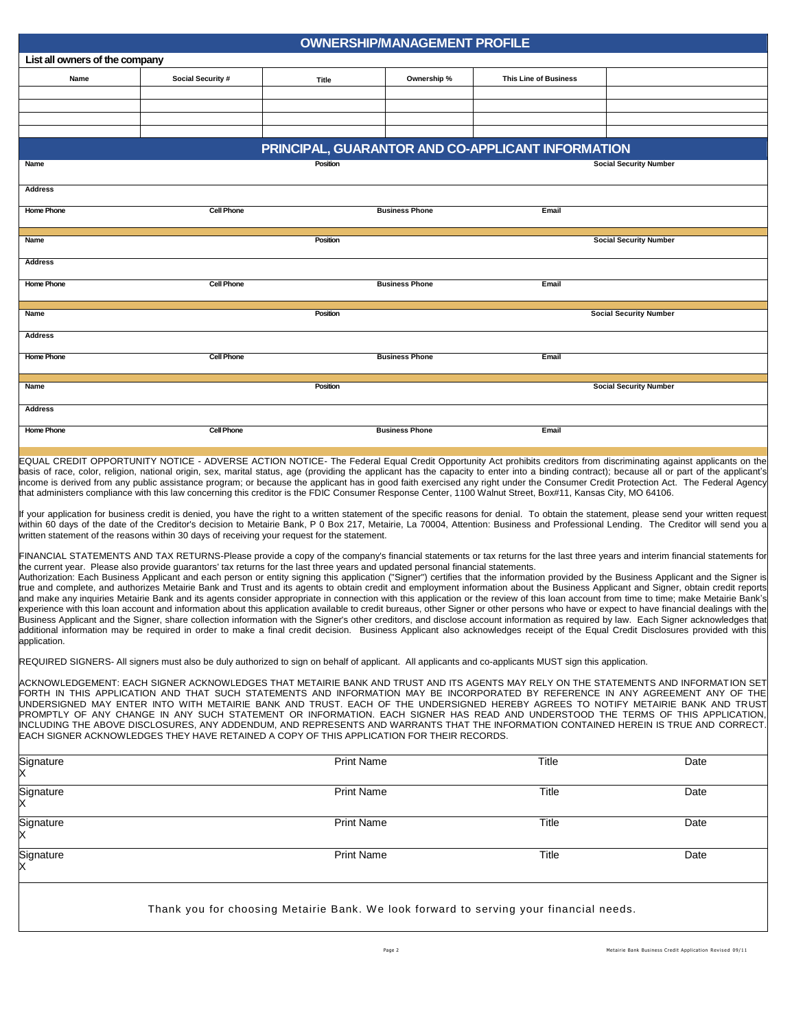|                                | OWNERSHIP/MANAGEMENT PROFILE |                             |                       |                                                   |                               |  |  |
|--------------------------------|------------------------------|-----------------------------|-----------------------|---------------------------------------------------|-------------------------------|--|--|
| List all owners of the company |                              |                             |                       |                                                   |                               |  |  |
| Name                           | Social Security #            | Ownership %<br><b>Title</b> |                       | <b>This Line of Business</b>                      |                               |  |  |
|                                |                              |                             |                       |                                                   |                               |  |  |
|                                |                              |                             |                       |                                                   |                               |  |  |
|                                |                              |                             |                       |                                                   |                               |  |  |
|                                |                              |                             |                       |                                                   |                               |  |  |
|                                |                              |                             |                       | PRINCIPAL, GUARANTOR AND CO-APPLICANT INFORMATION |                               |  |  |
| <b>Name</b>                    | Position                     |                             |                       | <b>Social Security Number</b>                     |                               |  |  |
| <b>Address</b>                 |                              |                             |                       |                                                   |                               |  |  |
| <b>Home Phone</b>              | <b>Cell Phone</b>            |                             | <b>Business Phone</b> | Email                                             |                               |  |  |
| Name                           |                              | Position                    |                       |                                                   | <b>Social Security Number</b> |  |  |
|                                |                              |                             |                       |                                                   |                               |  |  |
| <b>Address</b>                 |                              |                             |                       |                                                   |                               |  |  |
| <b>Home Phone</b>              | <b>Cell Phone</b>            |                             | <b>Business Phone</b> | Email                                             |                               |  |  |
| Name                           |                              | Position                    |                       |                                                   | <b>Social Security Number</b> |  |  |
|                                |                              |                             |                       |                                                   |                               |  |  |
| <b>Address</b>                 |                              |                             |                       |                                                   |                               |  |  |
| <b>Home Phone</b>              | <b>Cell Phone</b>            |                             | <b>Business Phone</b> | Email                                             |                               |  |  |
| Name                           |                              | Position                    |                       |                                                   | <b>Social Security Number</b> |  |  |
|                                |                              |                             |                       |                                                   |                               |  |  |
| <b>Address</b>                 |                              |                             |                       |                                                   |                               |  |  |
| <b>Home Phone</b>              | <b>Cell Phone</b>            |                             | <b>Business Phone</b> | Email                                             |                               |  |  |

EQUAL CREDIT OPPORTUNITY NOTICE - ADVERSE ACTION NOTICE- The Federal Equal Credit Opportunity Act prohibits creditors from discriminating against applicants on the basis of race, color, religion, national origin, sex, marital status, age (providing the applicant has the capacity to enter into a binding contract); because all or part of the applicant's income is derived from any public assistance program; or because the applicant has in good faith exercised any right under the Consumer Credit Protection Act. The Federal Agency that administers compliance with this law concerning this creditor is the FDIC Consumer Response Center, 1100 Walnut Street, Box#11, Kansas City, MO 64106.

Iff your application for business credit is denied, you have the right to a written statement of the specific reasons for denial. To obtain the statement, please send your written request within 60 days of the date of the Creditor's decision to Metairie Bank, P 0 Box 217, Metairie, La 70004, Attention: Business and Professional Lending. The Creditor will send you a written statement of the reasons within 30 days of receiving your request for the statement.

FINANCIAL STATEMENTS AND TAX RETURNS-Please provide a copy of the company's financial statements or tax returns for the last three years and interim financial statements for the current year. Please also provide guarantors' tax returns for the last three years and updated personal financial statements.

Authorization: Each Business Applicant and each person or entity signing this application ("Signer") certifies that the information provided by the Business Applicant and the Signer is true and complete, and authorizes Metairie Bank and Trust and its agents to obtain credit and employment information about the Business Applicant and Signer, obtain credit reports and make any inquiries Metairie Bank and its agents consider appropriate in connection with this application or the review of this loan account from time to time; make Metairie Bank's experience with this loan account and information about this application available to credit bureaus, other Signer or other persons who have or expect to have financial dealings with the Business Applicant and the Signer, share collection information with the Signer's other creditors, and disclose account information as required by law. Each Signer acknowledges that additional information may be required in order to make a final credit decision. Business Applicant also acknowledges receipt of the Equal Credit Disclosures provided with this application.

REQUIRED SIGNERS- All signers must also be duly authorized to sign on behalf of applicant. All applicants and co-applicants MUST sign this application.

ACKNOWLEDGEMENT: EACH SIGNER ACKNOWLEDGES THAT METAIRIE BANK AND TRUST AND ITS AGENTS MAY RELY ON THE STATEMENTS AND INFORMATION SET FORTH IN THIS APPLICATION AND THAT SUCH STATEMENTS AND INFORMATION MAY BE INCORPORATED BY REFERENCE IN ANY AGREEMENT ANY OF THE UNDERSIGNED MAY ENTER INTO WITH METAIRIE BANK AND TRUST. EACH OF THE UNDERSIGNED HEREBY AGREES TO NOTIFY METAIRIE BANK AND TRUST PROMPTLY OF ANY CHANGE IN ANY SUCH STATEMENT OR INFORMATION. EACH SIGNER HAS READ AND UNDERSTOOD THE TERMS OF THIS APPLICATION, INCLUDING THE ABOVE DISCLOSURES, ANY ADDENDUM, AND REPRESENTS AND WARRANTS THAT THE INFORMATION CONTAINED HEREIN IS TRUE AND CORRECT. EACH SIGNER ACKNOWLEDGES THEY HAVE RETAINED A COPY OF THIS APPLICATION FOR THEIR RECORDS.

| Signature<br>X | <b>Print Name</b>                                                                      | Title | Date |
|----------------|----------------------------------------------------------------------------------------|-------|------|
| Signature<br>X | <b>Print Name</b>                                                                      | Title | Date |
| Signature<br>Х | <b>Print Name</b>                                                                      | Title | Date |
| Signature<br>X | <b>Print Name</b>                                                                      | Title | Date |
|                | Thank you for choosing Metairie Bank. We look forward to serving your financial needs. |       |      |